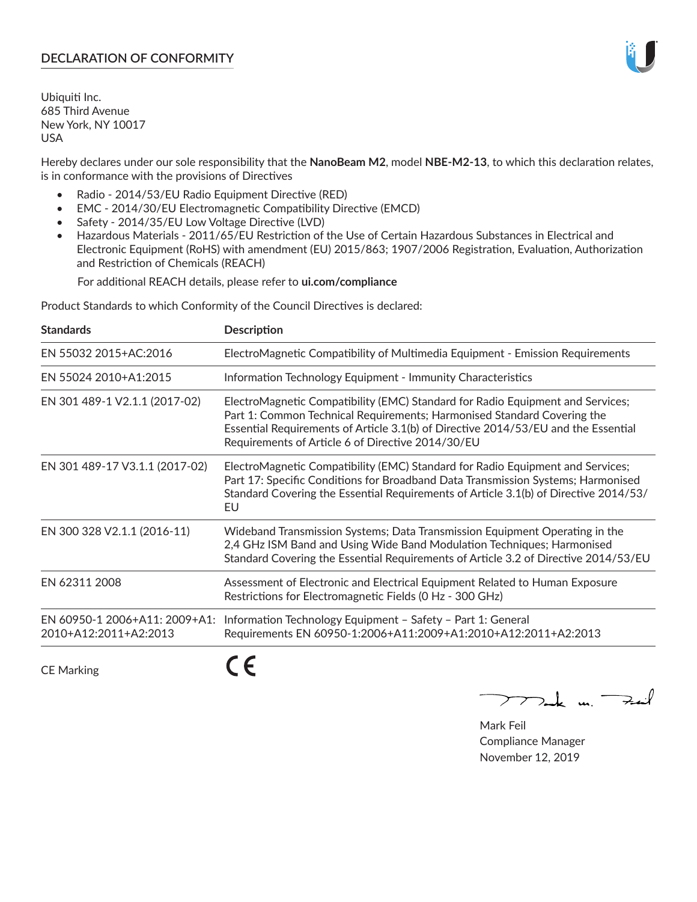# **DECLARATION OF CONFORMITY**

Ubiquiti Inc. 685 Third Avenue New York, NY 10017 USA

Hereby declares under our sole responsibility that the **NanoBeam M2**, model **NBE-M2-13**, to which this declaration relates, is in conformance with the provisions of Directives

- Radio 2014/53/EU Radio Equipment Directive (RED)
- EMC 2014/30/EU Electromagnetic Compatibility Directive (EMCD)
- Safety 2014/35/EU Low Voltage Directive (LVD)
- Hazardous Materials 2011/65/EU Restriction of the Use of Certain Hazardous Substances in Electrical and Electronic Equipment (RoHS) with amendment (EU) 2015/863; 1907/2006 Registration, Evaluation, Authorization and Restriction of Chemicals (REACH)

For additional REACH details, please refer to **ui.com/compliance**

Product Standards to which Conformity of the Council Directives is declared:

| <b>Standards</b>                                       | <b>Description</b>                                                                                                                                                                                                                                                                                   |
|--------------------------------------------------------|------------------------------------------------------------------------------------------------------------------------------------------------------------------------------------------------------------------------------------------------------------------------------------------------------|
| EN 55032 2015+AC:2016                                  | ElectroMagnetic Compatibility of Multimedia Equipment - Emission Requirements                                                                                                                                                                                                                        |
| EN 55024 2010+A1:2015                                  | Information Technology Equipment - Immunity Characteristics                                                                                                                                                                                                                                          |
| EN 301 489-1 V2.1.1 (2017-02)                          | ElectroMagnetic Compatibility (EMC) Standard for Radio Equipment and Services;<br>Part 1: Common Technical Requirements; Harmonised Standard Covering the<br>Essential Requirements of Article 3.1(b) of Directive 2014/53/EU and the Essential<br>Requirements of Article 6 of Directive 2014/30/EU |
| EN 301 489-17 V3.1.1 (2017-02)                         | ElectroMagnetic Compatibility (EMC) Standard for Radio Equipment and Services;<br>Part 17: Specific Conditions for Broadband Data Transmission Systems; Harmonised<br>Standard Covering the Essential Requirements of Article 3.1(b) of Directive 2014/53/<br>EU                                     |
| EN 300 328 V2.1.1 (2016-11)                            | Wideband Transmission Systems; Data Transmission Equipment Operating in the<br>2,4 GHz ISM Band and Using Wide Band Modulation Techniques; Harmonised<br>Standard Covering the Essential Requirements of Article 3.2 of Directive 2014/53/EU                                                         |
| EN 62311 2008                                          | Assessment of Electronic and Electrical Equipment Related to Human Exposure<br>Restrictions for Electromagnetic Fields (0 Hz - 300 GHz)                                                                                                                                                              |
| EN 60950-1 2006+A11: 2009+A1:<br>2010+A12:2011+A2:2013 | Information Technology Equipment - Safety - Part 1: General<br>Requirements EN 60950-1:2006+A11:2009+A1:2010+A12:2011+A2:2013                                                                                                                                                                        |
|                                                        |                                                                                                                                                                                                                                                                                                      |

CE Marking

CE

 $\nabla$ ock un  $\rightarrow$ cil  $\mathop{\sum\mathrm{ }}$ 

Mark Feil Compliance Manager November 12, 2019

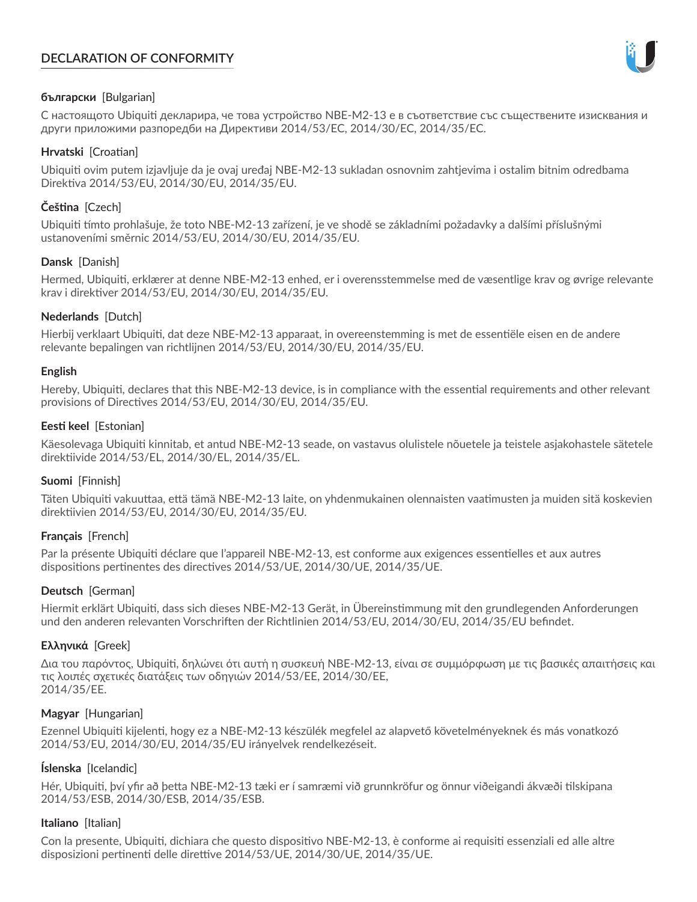# **DECLARATION OF CONFORMITY**



# **български** [Bulgarian]

С настоящото Ubiquiti декларира, че това устройство NBE-M2-13 е в съответствие със съществените изисквания и други приложими разпоредби на Директиви 2014/53/EC, 2014/30/ЕС, 2014/35/ЕС.

## **Hrvatski** [Croatian]

Ubiquiti ovim putem izjavljuje da je ovaj uređaj NBE-M2-13 sukladan osnovnim zahtjevima i ostalim bitnim odredbama Direktiva 2014/53/EU, 2014/30/EU, 2014/35/EU.

# **Čeština** [Czech]

Ubiquiti tímto prohlašuje, že toto NBE-M2-13 zařízení, je ve shodě se základními požadavky a dalšími příslušnými ustanoveními směrnic 2014/53/EU, 2014/30/EU, 2014/35/EU.

# **Dansk** [Danish]

Hermed, Ubiquiti, erklærer at denne NBE-M2-13 enhed, er i overensstemmelse med de væsentlige krav og øvrige relevante krav i direktiver 2014/53/EU, 2014/30/EU, 2014/35/EU.

# **Nederlands** [Dutch]

Hierbij verklaart Ubiquiti, dat deze NBE-M2-13 apparaat, in overeenstemming is met de essentiële eisen en de andere relevante bepalingen van richtlijnen 2014/53/EU, 2014/30/EU, 2014/35/EU.

## **English**

Hereby, Ubiquiti, declares that this NBE-M2-13 device, is in compliance with the essential requirements and other relevant provisions of Directives 2014/53/EU, 2014/30/EU, 2014/35/EU.

# **Eesti keel** [Estonian]

Käesolevaga Ubiquiti kinnitab, et antud NBE-M2-13 seade, on vastavus olulistele nõuetele ja teistele asjakohastele sätetele direktiivide 2014/53/EL, 2014/30/EL, 2014/35/EL.

## **Suomi** [Finnish]

Täten Ubiquiti vakuuttaa, että tämä NBE-M2-13 laite, on yhdenmukainen olennaisten vaatimusten ja muiden sitä koskevien direktiivien 2014/53/EU, 2014/30/EU, 2014/35/EU.

## **Français** [French]

Par la présente Ubiquiti déclare que l'appareil NBE-M2-13, est conforme aux exigences essentielles et aux autres dispositions pertinentes des directives 2014/53/UE, 2014/30/UE, 2014/35/UE.

## **Deutsch** [German]

Hiermit erklärt Ubiquiti, dass sich dieses NBE-M2-13 Gerät, in Übereinstimmung mit den grundlegenden Anforderungen und den anderen relevanten Vorschriften der Richtlinien 2014/53/EU, 2014/30/EU, 2014/35/EU befindet.

## **Ελληνικά** [Greek]

Δια του παρόντος, Ubiquiti, δηλώνει ότι αυτή η συσκευή NBE-M2-13, είναι σε συμμόρφωση με τις βασικές απαιτήσεις και τις λοιπές σχετικές διατάξεις των οδηγιών 2014/53/EE, 2014/30/EE, 2014/35/EE.

## **Magyar** [Hungarian]

Ezennel Ubiquiti kijelenti, hogy ez a NBE-M2-13 készülék megfelel az alapvető követelményeknek és más vonatkozó 2014/53/EU, 2014/30/EU, 2014/35/EU irányelvek rendelkezéseit.

## **Íslenska** [Icelandic]

Hér, Ubiquiti, því yfir að þetta NBE-M2-13 tæki er í samræmi við grunnkröfur og önnur viðeigandi ákvæði tilskipana 2014/53/ESB, 2014/30/ESB, 2014/35/ESB.

## **Italiano** [Italian]

Con la presente, Ubiquiti, dichiara che questo dispositivo NBE-M2-13, è conforme ai requisiti essenziali ed alle altre disposizioni pertinenti delle direttive 2014/53/UE, 2014/30/UE, 2014/35/UE.